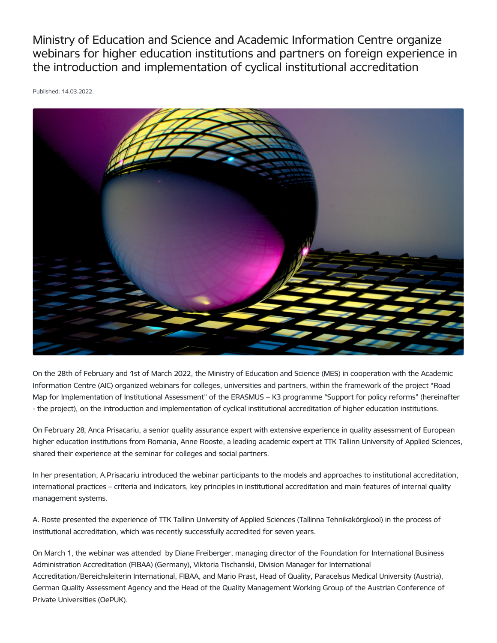Ministry of Education and Science and Academic Information Centre organize webinars for higher education institutions and partners on foreign experience in the introduction and implementation of cyclical institutional accreditation

Published: 14.03.2022.



On the 28th of February and 1st of March 2022, the Ministry of Education and Science (MES) in cooperation with the Academic Information Centre (AIC) organized webinars for colleges, universities and partners, within the framework of the project "Road Map for Implementation of Institutional Assessment" of the ERASMUS + K3 programme "Support for policy reforms" (hereinafter - the project), on the introduction and implementation of cyclical institutional accreditation of higher education institutions.

On February 28, Anca Prisacariu, a senior quality assurance expert with extensive experience in quality assessment of European higher education institutions from Romania, Anne Rooste, a leading academic expert at TTK Tallinn University of Applied Sciences, shared their experience at the seminar for colleges and social partners.

In her presentation, A.Prisacariu introduced the webinar participants to the models and approaches to institutional accreditation, international practices – criteria and indicators, key principles in institutional accreditation and main features of internal quality management systems.

A. Roste presented the experience of TTK Tallinn University of Applied Sciences (Tallinna Tehnikakõrgkool) in the process of institutional accreditation, which was recently successfully accredited for seven years.

On March 1, the webinar was attended by Diane Freiberger, managing director of the Foundation for International Business Administration Accreditation (FIBAA) (Germany), Viktoria Tischanski, Division Manager for International Accreditation/Bereichsleiterin International, FIBAA, and Mario Prast, Head of Quality, Paracelsus Medical University (Austria), German Quality Assessment Agency and the Head of the Quality Management Working Group of the Austrian Conference of Private Universities (OePUK).